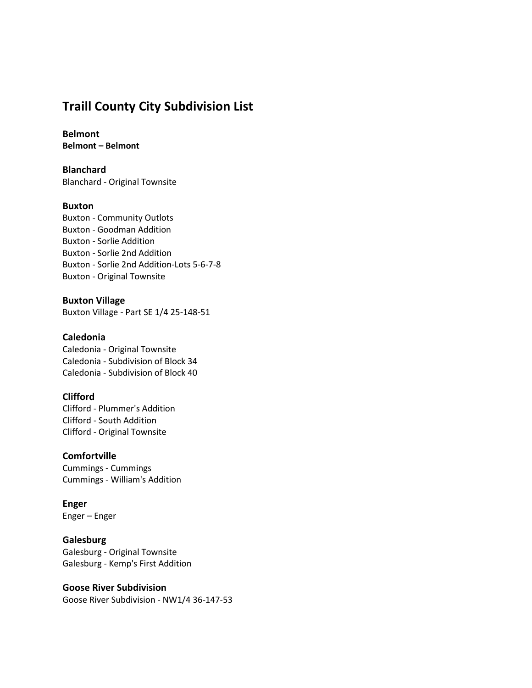# Traill County City Subdivision List

Belmont Belmont – Belmont

Blanchard Blanchard - Original Townsite

## Buxton

Buxton - Community Outlots Buxton - Goodman Addition Buxton - Sorlie Addition Buxton - Sorlie 2nd Addition Buxton - Sorlie 2nd Addition-Lots 5-6-7-8 Buxton - Original Townsite

Buxton Village Buxton Village - Part SE 1/4 25-148-51

## Caledonia

Caledonia - Original Townsite Caledonia - Subdivision of Block 34 Caledonia - Subdivision of Block 40

## Clifford

Clifford - Plummer's Addition Clifford - South Addition Clifford - Original Townsite

## **Comfortville**

Cummings - Cummings Cummings - William's Addition

## Enger

Enger – Enger

## **Galesburg**

Galesburg - Original Townsite Galesburg - Kemp's First Addition

#### Goose River Subdivision

Goose River Subdivision - NW1/4 36-147-53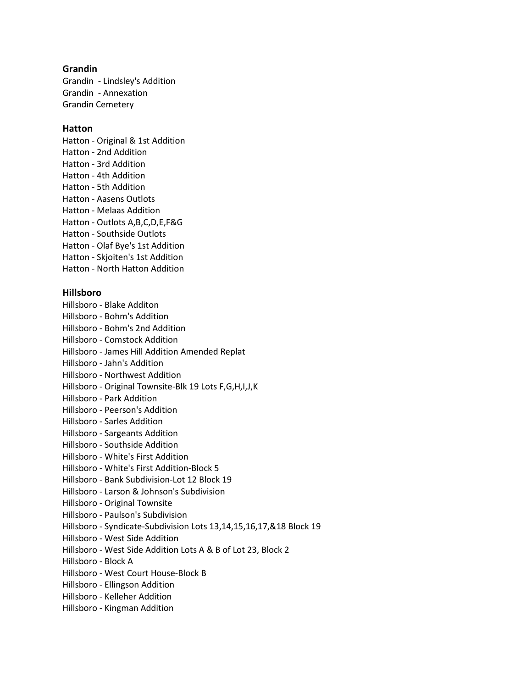## Grandin

Grandin - Lindsley's Addition Grandin - Annexation Grandin Cemetery

## **Hatton**

Hatton - Original & 1st Addition Hatton - 2nd Addition Hatton - 3rd Addition Hatton - 4th Addition Hatton - 5th Addition Hatton - Aasens Outlots Hatton - Melaas Addition Hatton - Outlots A,B,C,D,E,F&G Hatton - Southside Outlots Hatton - Olaf Bye's 1st Addition Hatton - Skjoiten's 1st Addition Hatton - North Hatton Addition

## Hillsboro

- Hillsboro Blake Additon
- Hillsboro Bohm's Addition
- Hillsboro Bohm's 2nd Addition
- Hillsboro Comstock Addition
- Hillsboro James Hill Addition Amended Replat
- Hillsboro Jahn's Addition
- Hillsboro Northwest Addition
- Hillsboro Original Townsite-Blk 19 Lots F,G,H,I,J,K
- Hillsboro Park Addition
- Hillsboro Peerson's Addition
- Hillsboro Sarles Addition
- Hillsboro Sargeants Addition
- Hillsboro Southside Addition
- Hillsboro White's First Addition
- Hillsboro White's First Addition-Block 5
- Hillsboro Bank Subdivision-Lot 12 Block 19
- Hillsboro Larson & Johnson's Subdivision
- Hillsboro Original Townsite
- Hillsboro Paulson's Subdivision
- Hillsboro Syndicate-Subdivision Lots 13,14,15,16,17,&18 Block 19
- Hillsboro West Side Addition
- Hillsboro West Side Addition Lots A & B of Lot 23, Block 2
- Hillsboro Block A
- Hillsboro West Court House-Block B
- Hillsboro Ellingson Addition
- Hillsboro Kelleher Addition
- Hillsboro Kingman Addition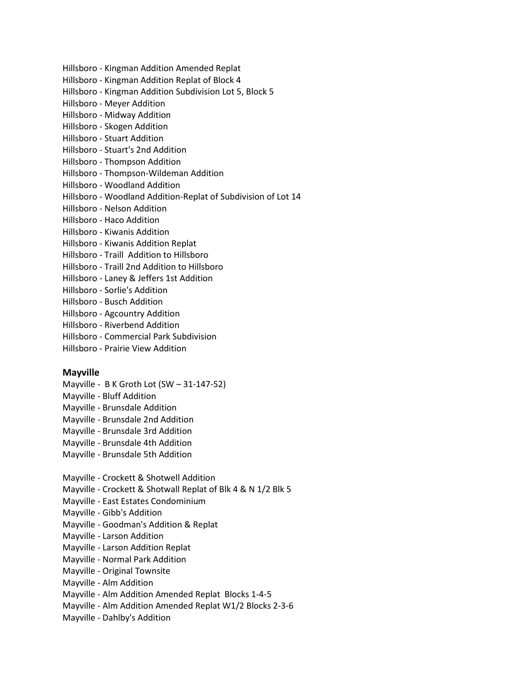- Hillsboro Kingman Addition Amended Replat
- Hillsboro Kingman Addition Replat of Block 4
- Hillsboro Kingman Addition Subdivision Lot 5, Block 5
- Hillsboro Meyer Addition
- Hillsboro Midway Addition
- Hillsboro Skogen Addition
- Hillsboro Stuart Addition
- Hillsboro Stuart's 2nd Addition
- Hillsboro Thompson Addition
- Hillsboro Thompson-Wildeman Addition
- Hillsboro Woodland Addition
- Hillsboro Woodland Addition-Replat of Subdivision of Lot 14
- Hillsboro Nelson Addition
- Hillsboro Haco Addition
- Hillsboro Kiwanis Addition
- Hillsboro Kiwanis Addition Replat
- Hillsboro Traill Addition to Hillsboro
- Hillsboro Traill 2nd Addition to Hillsboro
- Hillsboro Laney & Jeffers 1st Addition
- Hillsboro Sorlie's Addition
- Hillsboro Busch Addition
- Hillsboro Agcountry Addition
- Hillsboro Riverbend Addition
- Hillsboro Commercial Park Subdivision
- Hillsboro Prairie View Addition

## Mayville

- Mayville B K Groth Lot (SW 31-147-52)
- Mayville Bluff Addition
- Mayville Brunsdale Addition
- Mayville Brunsdale 2nd Addition
- Mayville Brunsdale 3rd Addition
- Mayville Brunsdale 4th Addition
- Mayville Brunsdale 5th Addition
- Mayville Crockett & Shotwell Addition
- Mayville Crockett & Shotwall Replat of Blk 4 & N 1/2 Blk 5
- Mayville East Estates Condominium
- Mayville Gibb's Addition
- Mayville Goodman's Addition & Replat
- Mayville Larson Addition
- Mayville Larson Addition Replat
- Mayville Normal Park Addition
- Mayville Original Townsite
- Mayville Alm Addition
- Mayville Alm Addition Amended Replat Blocks 1-4-5
- Mayville Alm Addition Amended Replat W1/2 Blocks 2-3-6
- Mayville Dahlby's Addition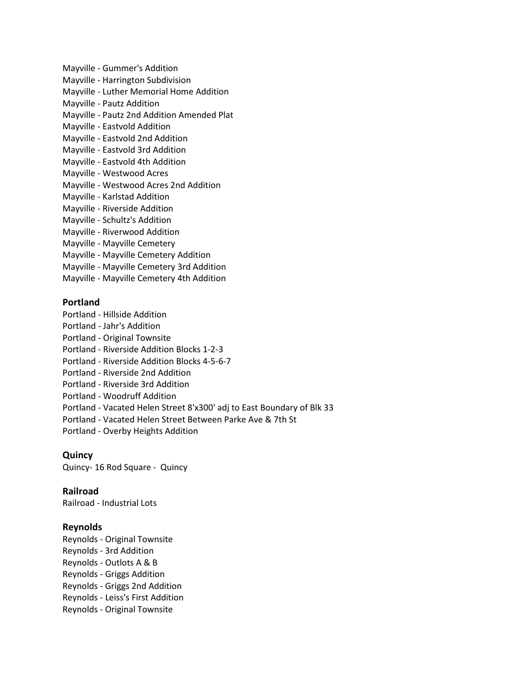- Mayville Gummer's Addition Mayville - Harrington Subdivision Mayville - Luther Memorial Home Addition Mayville - Pautz Addition Mayville - Pautz 2nd Addition Amended Plat Mayville - Eastvold Addition Mayville - Eastvold 2nd Addition Mayville - Eastvold 3rd Addition Mayville - Eastvold 4th Addition Mayville - Westwood Acres Mayville - Westwood Acres 2nd Addition Mayville - Karlstad Addition Mayville - Riverside Addition Mayville - Schultz's Addition Mayville - Riverwood Addition Mayville - Mayville Cemetery Mayville - Mayville Cemetery Addition Mayville - Mayville Cemetery 3rd Addition
- Mayville Mayville Cemetery 4th Addition

#### Portland

- Portland Hillside Addition
- Portland Jahr's Addition
- Portland Original Townsite
- Portland Riverside Addition Blocks 1-2-3
- Portland Riverside Addition Blocks 4-5-6-7
- Portland Riverside 2nd Addition
- Portland Riverside 3rd Addition
- Portland Woodruff Addition
- Portland Vacated Helen Street 8'x300' adj to East Boundary of Blk 33
- Portland Vacated Helen Street Between Parke Ave & 7th St
- Portland Overby Heights Addition

#### Quincy

Quincy- 16 Rod Square - Quincy

#### Railroad

Railroad - Industrial Lots

#### Reynolds

Reynolds - Original Townsite Reynolds - 3rd Addition Reynolds - Outlots A & B Reynolds - Griggs Addition Reynolds - Griggs 2nd Addition Reynolds - Leiss's First Addition Reynolds - Original Townsite